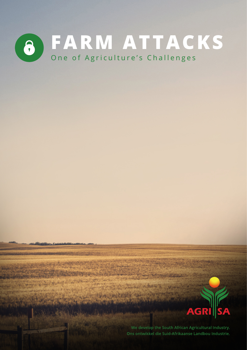



We develop the South African Agricultural Industry. Ons ontwikkel die Suid-Afrikaanse Landbou Industrie.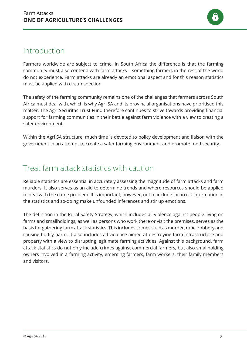

## Introduction

Farmers worldwide are subject to crime, in South Africa the difference is that the farming community must also contend with farm attacks – something farmers in the rest of the world do not experience. Farm attacks are already an emotional aspect and for this reason statistics must be applied with circumspection.

The safety of the farming community remains one of the challenges that farmers across South Africa must deal with, which is why Agri SA and its provincial organisations have prioritised this matter. The Agri Securitas Trust Fund therefore continues to strive towards providing financial support for farming communities in their battle against farm violence with a view to creating a safer environment.

Within the Agri SA structure, much time is devoted to policy development and liaison with the government in an attempt to create a safer farming environment and promote food security.

## Treat farm attack statistics with caution

Reliable statistics are essential in accurately assessing the magnitude of farm attacks and farm murders. It also serves as an aid to determine trends and where resources should be applied to deal with the crime problem. It is important, however, not to include incorrect information in the statistics and so-doing make unfounded inferences and stir up emotions.

The definition in the Rural Safety Strategy, which includes all violence against people living on farms and smallholdings, as well as persons who work there or visit the premises, serves as the basis for gathering farm attack statistics. This includes crimes such as murder, rape, robbery and causing bodily harm. It also includes all violence aimed at destroying farm infrastructure and property with a view to disrupting legitimate farming activities. Against this background, farm attack statistics do not only include crimes against commercial farmers, but also smallholding owners involved in a farming activity, emerging farmers, farm workers, their family members and visitors.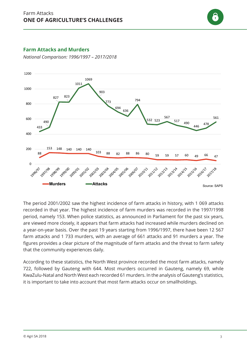

#### **Farm Attacks and Murders Plaasaanvalle en -moorde**

*National Comparison: 1996/1997 – 2017/2018* Nasionale Vergelyking: 1996/1997 – 2017/2018



The period 2001/2002 saw the highest incidence of farm attacks in history, with 1 069 attacks recorded in that year. The highest incidence of farm murders was recorded in the 1997/1998 period, namely 153. When police statistics, as announced in Parliament for the past six years, are viewed more closely, it appears that farm attacks had increased while murders declined on a year-on-year basis. Over the past 19 years starting from 1996/1997, there have been 12 567 farm attacks and 1 733 murders, with an average of 661 attacks and 91 murders a year. The figures provides a clear picture of the magnitude of farm attacks and the threat to farm safety that the community experiences daily.

According to these statistics, the North West province recorded the most farm attacks, namely 722, followed by Gauteng with 644. Most murders occurred in Gauteng, namely 69, while KwaZulu-Natal and North West each recorded 61 murders. In the analysis of Gauteng's statistics, it is important to take into account that most farm attacks occur on smallholdings.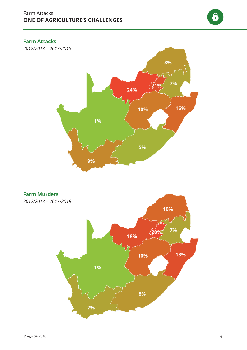8

### **Farm Attacks**

**Plaasaanvalle** 2012/2013 – 2017/2018 *2012/2013 – 2017/2018*



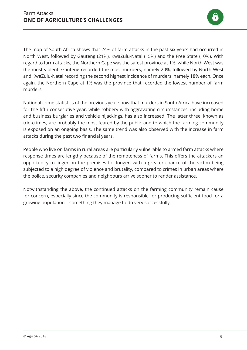

The map of South Africa shows that 24% of farm attacks in the past six years had occurred in North West, followed by Gauteng (21%), KwaZulu-Natal (15%) and the Free State (10%). With regard to farm attacks, the Northern Cape was the safest province at 1%, while North West was the most violent. Gauteng recorded the most murders, namely 20%, followed by North West and KwaZulu-Natal recording the second highest incidence of murders, namely 18% each. Once again, the Northern Cape at 1% was the province that recorded the lowest number of farm murders.

National crime statistics of the previous year show that murders in South Africa have increased for the fifth consecutive year, while robbery with aggravating circumstances, including home and business burglaries and vehicle hijackings, has also increased. The latter three, known as trio-crimes, are probably the most feared by the public and to which the farming community is exposed on an ongoing basis. The same trend was also observed with the increase in farm attacks during the past two financial years.

People who live on farms in rural areas are particularly vulnerable to armed farm attacks where response times are lengthy because of the remoteness of farms. This offers the attackers an opportunity to linger on the premises for longer, with a greater chance of the victim being subjected to a high degree of violence and brutality, compared to crimes in urban areas where the police, security companies and neighbours arrive sooner to render assistance.

Notwithstanding the above, the continued attacks on the farming community remain cause for concern, especially since the community is responsible for producing sufficient food for a growing population – something they manage to do very successfully.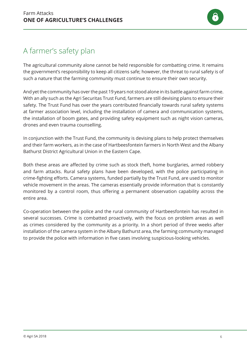# A farmer's safety plan

The agricultural community alone cannot be held responsible for combatting crime. It remains the government's responsibility to keep all citizens safe; however, the threat to rural safety is of such a nature that the farming community must continue to ensure their own security.

And yet the community has over the past 19 years not stood alone in its battle against farm crime. With an ally such as the Agri Securitas Trust Fund, farmers are still devising plans to ensure their safety. The Trust Fund has over the years contributed financially towards rural safety systems at farmer association level, including the installation of camera and communication systems, the installation of boom gates, and providing safety equipment such as night vision cameras, drones and even trauma counselling.

In conjunction with the Trust Fund, the community is devising plans to help protect themselves and their farm workers, as in the case of Hartbeesfontein farmers in North West and the Albany Bathurst District Agricultural Union in the Eastern Cape.

Both these areas are affected by crime such as stock theft, home burglaries, armed robbery and farm attacks. Rural safety plans have been developed, with the police participating in crime-fighting efforts. Camera systems, funded partially by the Trust Fund, are used to monitor vehicle movement in the areas. The cameras essentially provide information that is constantly monitored by a control room, thus offering a permanent observation capability across the entire area.

Co-operation between the police and the rural community of Hartbeesfontein has resulted in several successes. Crime is combatted proactively, with the focus on problem areas as well as crimes considered by the community as a priority. In a short period of three weeks after installation of the camera system in the Albany Bathurst area, the farming community managed to provide the police with information in five cases involving suspicious-looking vehicles.